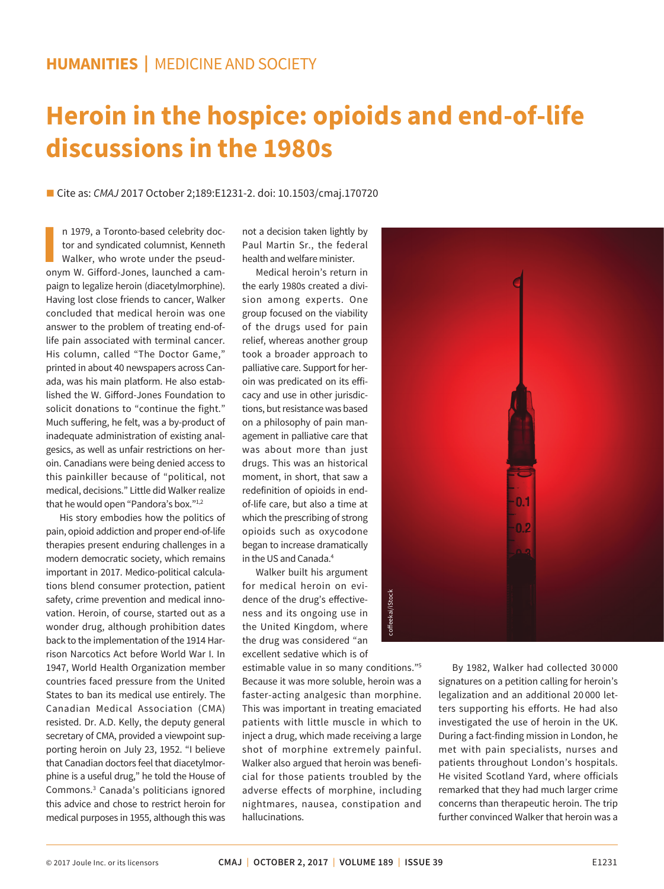## **HUMANITIES |** MEDICINE AND SOCIETY

# **Heroin in the hospice: opioids and end-of-life discussions in the 1980s**

■ Cite as: *CMAJ* 2017 October 2;189:E1231-2. doi: 10.1503/cmaj.170720

**II** n 1979, a Toronto-based celebrity doctor and syndicated columnist, Kenneth Walker, who wrote under the pseudonym W. Gifford-Jones, launched a camn 1979, a Toronto-based celebrity doctor and syndicated columnist, Kenneth Walker, who wrote under the pseudpaign to legalize heroin (diacetylmorphine). Having lost close friends to cancer, Walker concluded that medical heroin was one answer to the problem of treating end-oflife pain associated with terminal cancer. His column, called "The Doctor Game," printed in about 40 newspapers across Canada, was his main platform. He also established the W. Gifford-Jones Foundation to solicit donations to "continue the fight." Much suffering, he felt, was a by-product of inadequate administration of existing analgesics, as well as unfair restrictions on heroin. Canadians were being denied access to this painkiller because of "political, not medical, decisions." Little did Walker realize that he would open "Pandora's box."1,2

His story embodies how the politics of pain, opioid addiction and proper end-of-life therapies present enduring challenges in a modern democratic society, which remains important in 2017. Medico-political calculations blend consumer protection, patient safety, crime prevention and medical innovation. Heroin, of course, started out as a wonder drug, although prohibition dates back to the implementation of the 1914 Harrison Narcotics Act before World War I. In 1947, World Health Organization member countries faced pressure from the United States to ban its medical use entirely. The Canadian Medical Association (CMA) resisted. Dr. A.D. Kelly, the deputy general secretary of CMA, provided a viewpoint supporting heroin on July 23, 1952. "I believe that Canadian doctors feel that diacetylmorphine is a useful drug," he told the House of Commons.3 Canada's politicians ignored this advice and chose to restrict heroin for medical purposes in 1955, although this was

not a decision taken lightly by Paul Martin Sr., the federal health and welfare minister.

Medical heroin's return in the early 1980s created a division among experts. One group focused on the viability of the drugs used for pain relief, whereas another group took a broader approach to palliative care. Support for heroin was predicated on its efficacy and use in other jurisdictions, but resistance was based on a philosophy of pain management in palliative care that was about more than just drugs. This was an historical moment, in short, that saw a redefinition of opioids in endof-life care, but also a time at which the prescribing of strong opioids such as oxycodone began to increase dramatically in the US and Canada.4

Walker built his argument for medical heroin on evidence of the drug's effectiveness and its ongoing use in the United Kingdom, where the drug was considered "an excellent sedative which is of

estimable value in so many conditions."5 Because it was more soluble, heroin was a faster-acting analgesic than morphine. This was important in treating emaciated patients with little muscle in which to inject a drug, which made receiving a large shot of morphine extremely painful. Walker also argued that heroin was beneficial for those patients troubled by the adverse effects of morphine, including nightmares, nausea, constipation and hallucinations.



By 1982, Walker had collected 30 000 signatures on a petition calling for heroin's legalization and an additional 20 000 letters supporting his efforts. He had also investigated the use of heroin in the UK. During a fact-finding mission in London, he met with pain specialists, nurses and patients throughout London's hospitals. He visited Scotland Yard, where officials remarked that they had much larger crime concerns than therapeutic heroin. The trip further convinced Walker that heroin was a